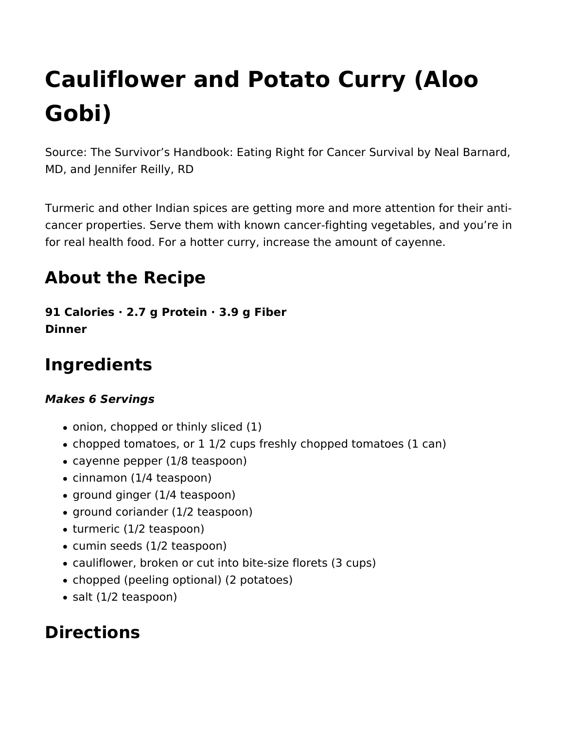# **Cauliflower and Potato Curry (Aloo Gobi)**

Source: The Survivor's Handbook: Eating Right for Cancer Survival by Neal Barnard, MD, and Jennifer Reilly, RD

Turmeric and other Indian spices are getting more and more attention for their anticancer properties. Serve them with known cancer-fighting vegetables, and you're in for real health food. For a hotter curry, increase the amount of cayenne.

# **About the Recipe**

**91 Calories · 2.7 g Protein · 3.9 g Fiber Dinner** 

# **Ingredients**

#### *Makes 6 Servings*

- onion, chopped or thinly sliced (1)
- chopped tomatoes, or 1 1/2 cups freshly chopped tomatoes (1 can)
- cayenne pepper (1/8 teaspoon)
- cinnamon (1/4 teaspoon)
- ground ginger (1/4 teaspoon)
- ground coriander (1/2 teaspoon)
- turmeric (1/2 teaspoon)
- cumin seeds (1/2 teaspoon)
- cauliflower, broken or cut into bite-size florets (3 cups)
- chopped (peeling optional) (2 potatoes)
- salt (1/2 teaspoon)

### **Directions**